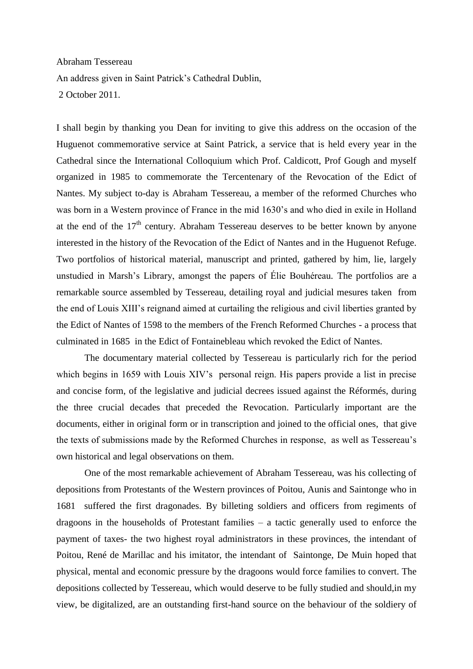Abraham Tessereau An address given in Saint Patrick's Cathedral Dublin, 2 October 2011.

I shall begin by thanking you Dean for inviting to give this address on the occasion of the Huguenot commemorative service at Saint Patrick, a service that is held every year in the Cathedral since the International Colloquium which Prof. Caldicott, Prof Gough and myself organized in 1985 to commemorate the Tercentenary of the Revocation of the Edict of Nantes. My subject to-day is Abraham Tessereau, a member of the reformed Churches who was born in a Western province of France in the mid 1630's and who died in exile in Holland at the end of the  $17<sup>th</sup>$  century. Abraham Tessereau deserves to be better known by anyone interested in the history of the Revocation of the Edict of Nantes and in the Huguenot Refuge. Two portfolios of historical material, manuscript and printed, gathered by him, lie, largely unstudied in Marsh's Library, amongst the papers of Élie Bouhéreau*.* The portfolios are a remarkable source assembled by Tessereau, detailing royal and judicial mesures taken from the end of Louis XIII's reignand aimed at curtailing the religious and civil liberties granted by the Edict of Nantes of 1598 to the members of the French Reformed Churches - a process that culminated in 1685 in the Edict of Fontainebleau which revoked the Edict of Nantes.

The documentary material collected by Tessereau is particularly rich for the period which begins in 1659 with Louis XIV's personal reign. His papers provide a list in precise and concise form, of the legislative and judicial decrees issued against the Réformés, during the three crucial decades that preceded the Revocation. Particularly important are the documents, either in original form or in transcription and joined to the official ones, that give the texts of submissions made by the Reformed Churches in response, as well as Tessereau's own historical and legal observations on them.

One of the most remarkable achievement of Abraham Tessereau, was his collecting of depositions from Protestants of the Western provinces of Poitou, Aunis and Saintonge who in 1681 suffered the first dragonades. By billeting soldiers and officers from regiments of dragoons in the households of Protestant families – a tactic generally used to enforce the payment of taxes- the two highest royal administrators in these provinces, the intendant of Poitou, René de Marillac and his imitator, the intendant of Saintonge, De Muin hoped that physical, mental and economic pressure by the dragoons would force families to convert. The depositions collected by Tessereau, which would deserve to be fully studied and should,in my view, be digitalized, are an outstanding first-hand source on the behaviour of the soldiery of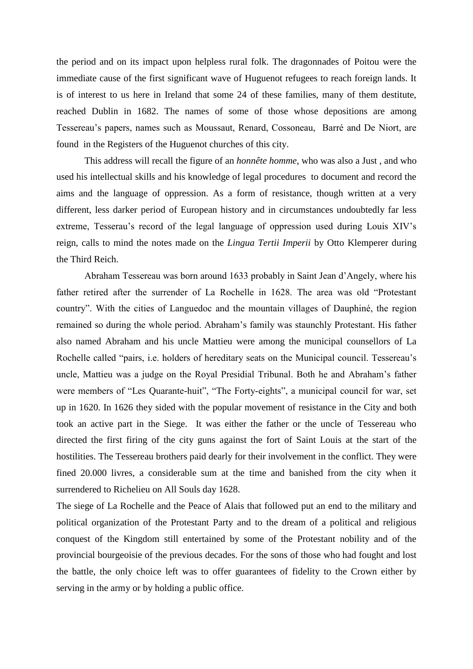the period and on its impact upon helpless rural folk. The dragonnades of Poitou were the immediate cause of the first significant wave of Huguenot refugees to reach foreign lands. It is of interest to us here in Ireland that some 24 of these families, many of them destitute, reached Dublin in 1682. The names of some of those whose depositions are among Tessereau's papers, names such as Moussaut, Renard, Cossoneau, Barré and De Niort, are found in the Registers of the Huguenot churches of this city.

This address will recall the figure of an *honnête homme*, who was also a Just , and who used his intellectual skills and his knowledge of legal procedures to document and record the aims and the language of oppression. As a form of resistance, though written at a very different, less darker period of European history and in circumstances undoubtedly far less extreme, Tesserau's record of the legal language of oppression used during Louis XIV's reign, calls to mind the notes made on the *Lingua Tertii Imperii* by Otto Klemperer during the Third Reich.

Abraham Tessereau was born around 1633 probably in Saint Jean d'Angely, where his father retired after the surrender of La Rochelle in 1628. The area was old "Protestant country". With the cities of Languedoc and the mountain villages of Dauphiné, the region remained so during the whole period. Abraham's family was staunchly Protestant. His father also named Abraham and his uncle Mattieu were among the municipal counsellors of La Rochelle called "pairs, i.e. holders of hereditary seats on the Municipal council. Tessereau's uncle, Mattieu was a judge on the Royal Presidial Tribunal. Both he and Abraham's father were members of "Les Quarante-huit", "The Forty-eights", a municipal council for war, set up in 1620. In 1626 they sided with the popular movement of resistance in the City and both took an active part in the Siege. It was either the father or the uncle of Tessereau who directed the first firing of the city guns against the fort of Saint Louis at the start of the hostilities. The Tessereau brothers paid dearly for their involvement in the conflict. They were fined 20.000 livres, a considerable sum at the time and banished from the city when it surrendered to Richelieu on All Souls day 1628.

The siege of La Rochelle and the Peace of Alais that followed put an end to the military and political organization of the Protestant Party and to the dream of a political and religious conquest of the Kingdom still entertained by some of the Protestant nobility and of the provincial bourgeoisie of the previous decades. For the sons of those who had fought and lost the battle, the only choice left was to offer guarantees of fidelity to the Crown either by serving in the army or by holding a public office.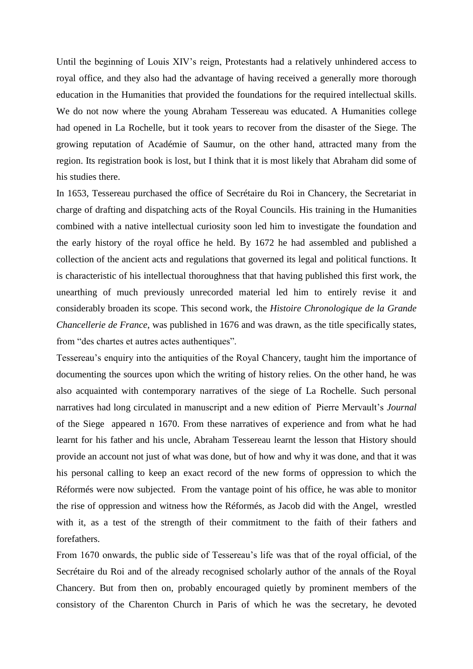Until the beginning of Louis XIV's reign, Protestants had a relatively unhindered access to royal office, and they also had the advantage of having received a generally more thorough education in the Humanities that provided the foundations for the required intellectual skills. We do not now where the young Abraham Tessereau was educated. A Humanities college had opened in La Rochelle, but it took years to recover from the disaster of the Siege. The growing reputation of Académie of Saumur, on the other hand, attracted many from the region. Its registration book is lost, but I think that it is most likely that Abraham did some of his studies there.

In 1653, Tessereau purchased the office of Secrétaire du Roi in Chancery, the Secretariat in charge of drafting and dispatching acts of the Royal Councils. His training in the Humanities combined with a native intellectual curiosity soon led him to investigate the foundation and the early history of the royal office he held. By 1672 he had assembled and published a collection of the ancient acts and regulations that governed its legal and political functions. It is characteristic of his intellectual thoroughness that that having published this first work, the unearthing of much previously unrecorded material led him to entirely revise it and considerably broaden its scope. This second work, the *Histoire Chronologique de la Grande Chancellerie de France*, was published in 1676 and was drawn, as the title specifically states, from "des chartes et autres actes authentiques".

Tessereau's enquiry into the antiquities of the Royal Chancery, taught him the importance of documenting the sources upon which the writing of history relies. On the other hand, he was also acquainted with contemporary narratives of the siege of La Rochelle. Such personal narratives had long circulated in manuscript and a new edition of Pierre Mervault's *Journal* of the Siege appeared n 1670. From these narratives of experience and from what he had learnt for his father and his uncle, Abraham Tessereau learnt the lesson that History should provide an account not just of what was done, but of how and why it was done, and that it was his personal calling to keep an exact record of the new forms of oppression to which the Réformés were now subjected. From the vantage point of his office, he was able to monitor the rise of oppression and witness how the Réformés, as Jacob did with the Angel, wrestled with it, as a test of the strength of their commitment to the faith of their fathers and forefathers.

From 1670 onwards, the public side of Tessereau's life was that of the royal official, of the Secrétaire du Roi and of the already recognised scholarly author of the annals of the Royal Chancery. But from then on, probably encouraged quietly by prominent members of the consistory of the Charenton Church in Paris of which he was the secretary, he devoted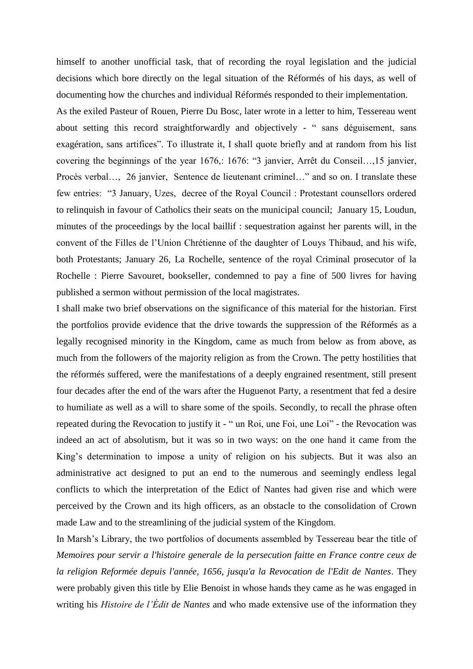himself to another unofficial task, that of recording the royal legislation and the judicial decisions which bore directly on the legal situation of the Réformés of his days, as well of documenting how the churches and individual Réformés responded to their implementation.

As the exiled Pasteur of Rouen, Pierre Du Bosc, later wrote in a letter to him, Tessereau went about setting this record straightforwardly and objectively - " sans déguisement, sans exagération, sans artifices". To illustrate it, I shall quote briefly and at random from his list covering the beginnings of the year 1676,: 1676: "3 janvier, Arrêt du Conseil…,15 janvier, Procès verbal…, 26 janvier, Sentence de lieutenant criminel…" and so on. I translate these few entries: "3 January, Uzes, decree of the Royal Council : Protestant counsellors ordered to relinquish in favour of Catholics their seats on the municipal council; January 15, Loudun, minutes of the proceedings by the local baillif : sequestration against her parents will, in the convent of the Filles de l'Union Chrétienne of the daughter of Louys Thibaud, and his wife, both Protestants; January 26, La Rochelle, sentence of the royal Criminal prosecutor of la Rochelle : Pierre Savouret, bookseller, condemned to pay a fine of 500 livres for having published a sermon without permission of the local magistrates.

I shall make two brief observations on the significance of this material for the historian. First the portfolios provide evidence that the drive towards the suppression of the Réformés as a legally recognised minority in the Kingdom, came as much from below as from above, as much from the followers of the majority religion as from the Crown. The petty hostilities that the réformés suffered, were the manifestations of a deeply engrained resentment, still present four decades after the end of the wars after the Huguenot Party, a resentment that fed a desire to humiliate as well as a will to share some of the spoils. Secondly, to recall the phrase often repeated during the Revocation to justify it - " un Roi, une Foi, une Loi" - the Revocation was indeed an act of absolutism, but it was so in two ways: on the one hand it came from the King's determination to impose a unity of religion on his subjects. But it was also an administrative act designed to put an end to the numerous and seemingly endless legal conflicts to which the interpretation of the Edict of Nantes had given rise and which were perceived by the Crown and its high officers, as an obstacle to the consolidation of Crown made Law and to the streamlining of the judicial system of the Kingdom.

In Marsh's Library, the two portfolios of documents assembled by Tessereau bear the title of *Memoires pour servir a l'histoire generale de la persecution faitte en France contre ceux de la religion Reformée depuis l'année, 1656, jusqu'a la Revocation de l'Edit de Nantes*. They were probably given this title by Elie Benoist in whose hands they came as he was engaged in writing his *Histoire de l'Édit de Nantes* and who made extensive use of the information they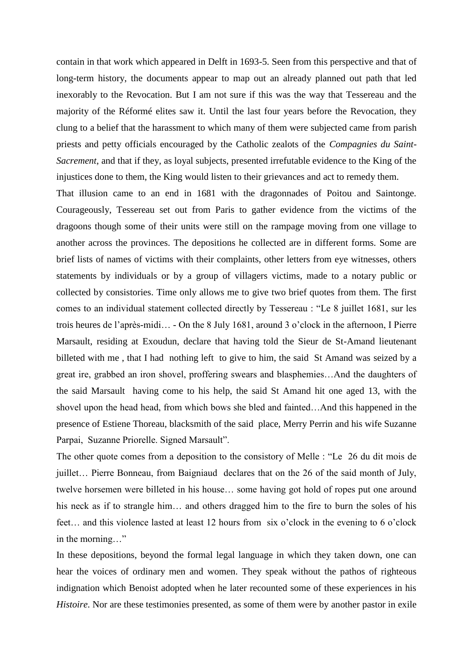contain in that work which appeared in Delft in 1693-5. Seen from this perspective and that of long-term history, the documents appear to map out an already planned out path that led inexorably to the Revocation. But I am not sure if this was the way that Tessereau and the majority of the Réformé elites saw it. Until the last four years before the Revocation, they clung to a belief that the harassment to which many of them were subjected came from parish priests and petty officials encouraged by the Catholic zealots of the *Compagnies du Saint-Sacrement*, and that if they, as loyal subjects, presented irrefutable evidence to the King of the injustices done to them, the King would listen to their grievances and act to remedy them.

That illusion came to an end in 1681 with the dragonnades of Poitou and Saintonge. Courageously, Tessereau set out from Paris to gather evidence from the victims of the dragoons though some of their units were still on the rampage moving from one village to another across the provinces. The depositions he collected are in different forms. Some are brief lists of names of victims with their complaints, other letters from eye witnesses, others statements by individuals or by a group of villagers victims, made to a notary public or collected by consistories. Time only allows me to give two brief quotes from them. The first comes to an individual statement collected directly by Tessereau : "Le 8 juillet 1681, sur les trois heures de l'après-midi… - On the 8 July 1681, around 3 o'clock in the afternoon, I Pierre Marsault, residing at Exoudun, declare that having told the Sieur de St-Amand lieutenant billeted with me , that I had nothing left to give to him, the said St Amand was seized by a great ire, grabbed an iron shovel, proffering swears and blasphemies…And the daughters of the said Marsault having come to his help, the said St Amand hit one aged 13, with the shovel upon the head head, from which bows she bled and fainted…And this happened in the presence of Estiene Thoreau, blacksmith of the said place, Merry Perrin and his wife Suzanne Parpai, Suzanne Priorelle. Signed Marsault".

The other quote comes from a deposition to the consistory of Melle : "Le 26 du dit mois de juillet… Pierre Bonneau, from Baigniaud declares that on the 26 of the said month of July, twelve horsemen were billeted in his house… some having got hold of ropes put one around his neck as if to strangle him... and others dragged him to the fire to burn the soles of his feet… and this violence lasted at least 12 hours from six o'clock in the evening to 6 o'clock in the morning…"

In these depositions, beyond the formal legal language in which they taken down, one can hear the voices of ordinary men and women. They speak without the pathos of righteous indignation which Benoist adopted when he later recounted some of these experiences in his *Histoire*. Nor are these testimonies presented, as some of them were by another pastor in exile